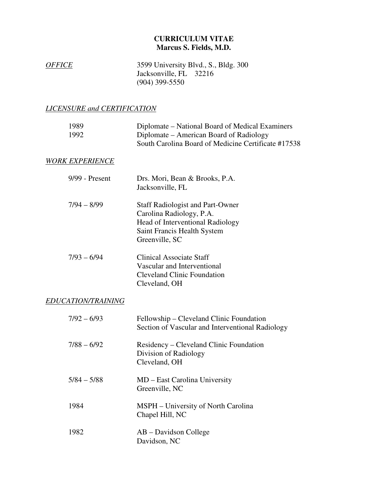## **CURRICULUM VITAE Marcus S. Fields, M.D.**

| <i><b>OFFICE</b></i> | 3599 University Blvd., S., Bldg. 300 |
|----------------------|--------------------------------------|
|                      | Jacksonville, FL 32216               |
|                      | $(904)$ 399-5550                     |

## *LICENSURE and CERTIFICATION*

| 1989<br>1992           | Diplomate – National Board of Medical Examiners<br>Diplomate – American Board of Radiology<br>South Carolina Board of Medicine Certificate #17538        |
|------------------------|----------------------------------------------------------------------------------------------------------------------------------------------------------|
| <b>WORK EXPERIENCE</b> |                                                                                                                                                          |
| 9/99 - Present         | Drs. Mori, Bean & Brooks, P.A.<br>Jacksonville, FL                                                                                                       |
| $7/94 - 8/99$          | <b>Staff Radiologist and Part-Owner</b><br>Carolina Radiology, P.A.<br>Head of Interventional Radiology<br>Saint Francis Health System<br>Greenville, SC |
| $7/93 - 6/94$          | <b>Clinical Associate Staff</b><br>Vascular and Interventional<br><b>Cleveland Clinic Foundation</b><br>Cleveland, OH                                    |
| EDUCATION/TRAINING     |                                                                                                                                                          |
| $7/92 - 6/93$          | Fellowship – Cleveland Clinic Foundation<br>Section of Vascular and Interventional Radiology                                                             |
| $7/88 - 6/92$          | Residency - Cleveland Clinic Foundation<br>Division of Radiology<br>Cleveland, OH                                                                        |
| $5/84 - 5/88$          | MD - East Carolina University<br>Greenville, NC                                                                                                          |
| 1984                   | MSPH – University of North Carolina<br>Chapel Hill, NC                                                                                                   |
| 1982                   | AB – Davidson College<br>Davidson, NC                                                                                                                    |